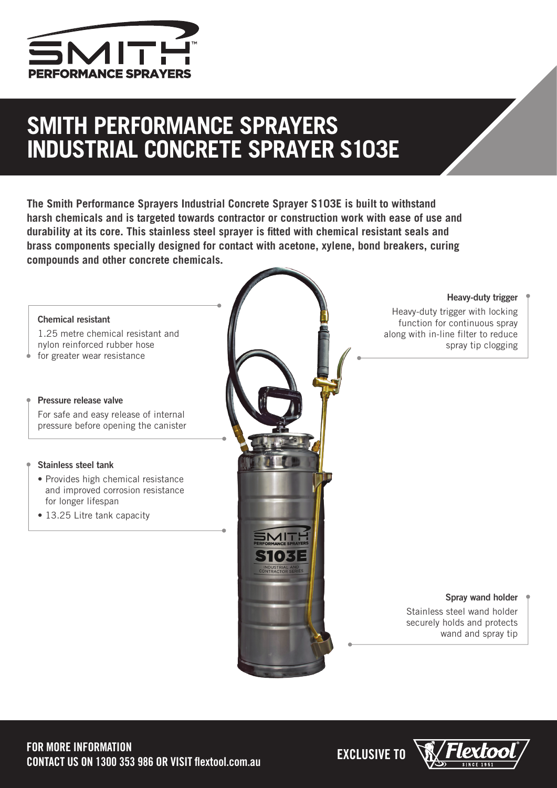

## **SMITH PERFORMANCE SPRAYERS INDUSTRIAL CONCRETE SPRAYER S103E**

**The Smith Performance Sprayers Industrial Concrete Sprayer S103E is built to withstand harsh chemicals and is targeted towards contractor or construction work with ease of use and durability at its core. This stainless steel sprayer is fitted with chemical resistant seals and brass components specially designed for contact with acetone, xylene, bond breakers, curing compounds and other concrete chemicals.**